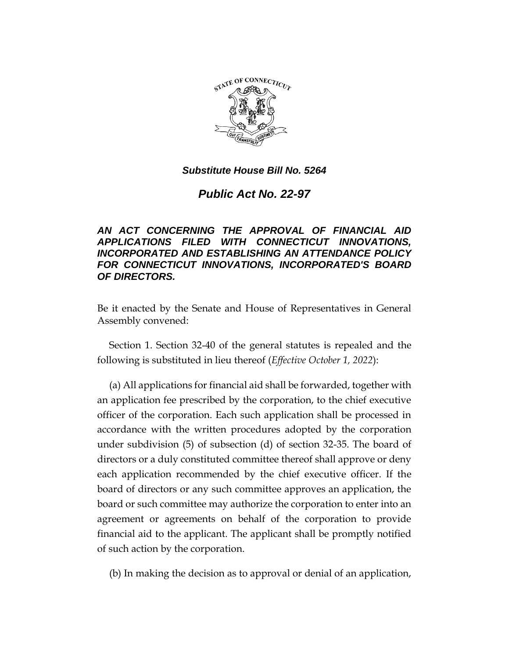

*Public Act No. 22-97*

# *AN ACT CONCERNING THE APPROVAL OF FINANCIAL AID APPLICATIONS FILED WITH CONNECTICUT INNOVATIONS, INCORPORATED AND ESTABLISHING AN ATTENDANCE POLICY FOR CONNECTICUT INNOVATIONS, INCORPORATED'S BOARD OF DIRECTORS.*

Be it enacted by the Senate and House of Representatives in General Assembly convened:

Section 1. Section 32-40 of the general statutes is repealed and the following is substituted in lieu thereof (*Effective October 1, 2022*):

(a) All applications for financial aid shall be forwarded, together with an application fee prescribed by the corporation, to the chief executive officer of the corporation. Each such application shall be processed in accordance with the written procedures adopted by the corporation under subdivision (5) of subsection (d) of section 32-35. The board of directors or a duly constituted committee thereof shall approve or deny each application recommended by the chief executive officer. If the board of directors or any such committee approves an application, the board or such committee may authorize the corporation to enter into an agreement or agreements on behalf of the corporation to provide financial aid to the applicant. The applicant shall be promptly notified of such action by the corporation.

(b) In making the decision as to approval or denial of an application,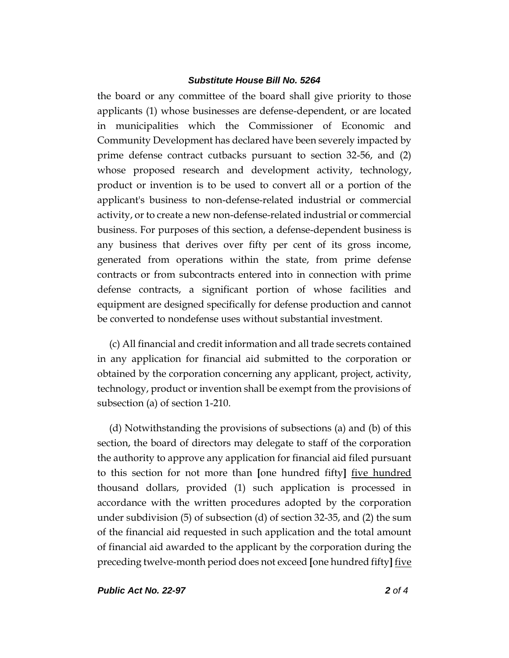the board or any committee of the board shall give priority to those applicants (1) whose businesses are defense-dependent, or are located in municipalities which the Commissioner of Economic and Community Development has declared have been severely impacted by prime defense contract cutbacks pursuant to section 32-56, and (2) whose proposed research and development activity, technology, product or invention is to be used to convert all or a portion of the applicant's business to non-defense-related industrial or commercial activity, or to create a new non-defense-related industrial or commercial business. For purposes of this section, a defense-dependent business is any business that derives over fifty per cent of its gross income, generated from operations within the state, from prime defense contracts or from subcontracts entered into in connection with prime defense contracts, a significant portion of whose facilities and equipment are designed specifically for defense production and cannot be converted to nondefense uses without substantial investment.

(c) All financial and credit information and all trade secrets contained in any application for financial aid submitted to the corporation or obtained by the corporation concerning any applicant, project, activity, technology, product or invention shall be exempt from the provisions of subsection (a) of section 1-210.

(d) Notwithstanding the provisions of subsections (a) and (b) of this section, the board of directors may delegate to staff of the corporation the authority to approve any application for financial aid filed pursuant to this section for not more than **[**one hundred fifty**]** five hundred thousand dollars, provided (1) such application is processed in accordance with the written procedures adopted by the corporation under subdivision (5) of subsection (d) of section 32-35, and (2) the sum of the financial aid requested in such application and the total amount of financial aid awarded to the applicant by the corporation during the preceding twelve-month period does not exceed **[**one hundred fifty**]** five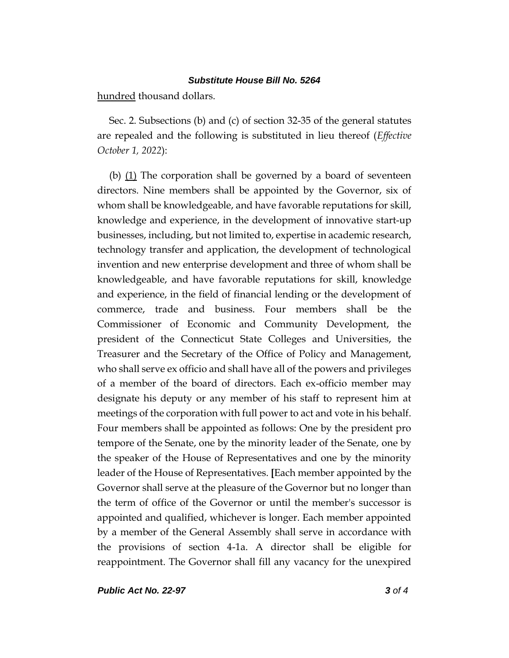hundred thousand dollars.

Sec. 2. Subsections (b) and (c) of section 32-35 of the general statutes are repealed and the following is substituted in lieu thereof (*Effective October 1, 2022*):

(b)  $(1)$  The corporation shall be governed by a board of seventeen directors. Nine members shall be appointed by the Governor, six of whom shall be knowledgeable, and have favorable reputations for skill, knowledge and experience, in the development of innovative start-up businesses, including, but not limited to, expertise in academic research, technology transfer and application, the development of technological invention and new enterprise development and three of whom shall be knowledgeable, and have favorable reputations for skill, knowledge and experience, in the field of financial lending or the development of commerce, trade and business. Four members shall be the Commissioner of Economic and Community Development, the president of the Connecticut State Colleges and Universities, the Treasurer and the Secretary of the Office of Policy and Management, who shall serve ex officio and shall have all of the powers and privileges of a member of the board of directors. Each ex-officio member may designate his deputy or any member of his staff to represent him at meetings of the corporation with full power to act and vote in his behalf. Four members shall be appointed as follows: One by the president pro tempore of the Senate, one by the minority leader of the Senate, one by the speaker of the House of Representatives and one by the minority leader of the House of Representatives. **[**Each member appointed by the Governor shall serve at the pleasure of the Governor but no longer than the term of office of the Governor or until the member's successor is appointed and qualified, whichever is longer. Each member appointed by a member of the General Assembly shall serve in accordance with the provisions of section 4-1a. A director shall be eligible for reappointment. The Governor shall fill any vacancy for the unexpired